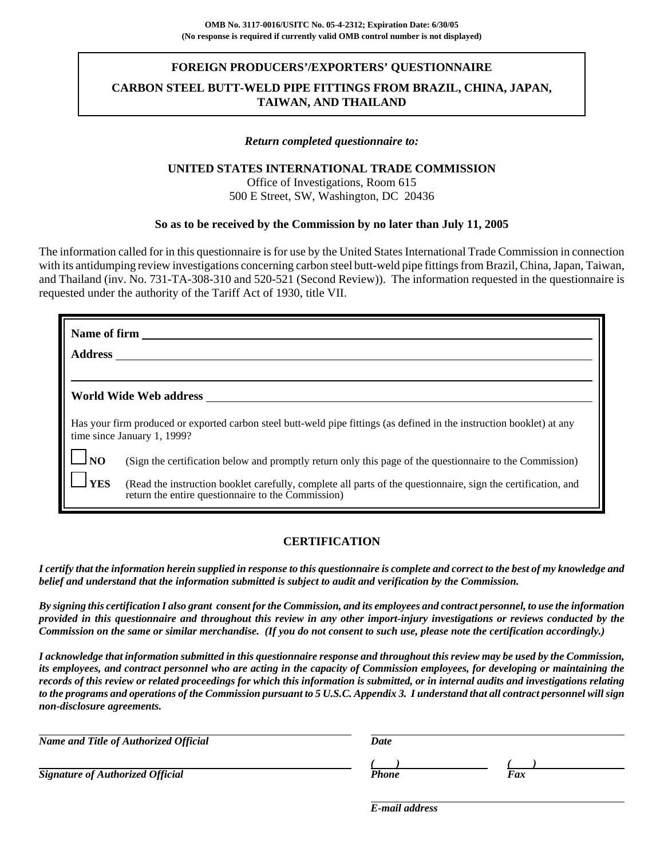### **FOREIGN PRODUCERS'/EXPORTERS' QUESTIONNAIRE**

## **CARBON STEEL BUTT-WELD PIPE FITTINGS FROM BRAZIL, CHINA, JAPAN, TAIWAN, AND THAILAND**

#### *Return completed questionnaire to:*

### **UNITED STATES INTERNATIONAL TRADE COMMISSION**

Office of Investigations, Room 615 500 E Street, SW, Washington, DC 20436

### **So as to be received by the Commission by no later than July 11, 2005**

The information called for in this questionnaire is for use by the United States International Trade Commission in connection with its antidumping review investigations concerning carbon steel butt-weld pipe fittings from Brazil, China, Japan, Taiwan, and Thailand (inv. No. 731-TA-308-310 and 520-521 (Second Review)). The information requested in the questionnaire is requested under the authority of the Tariff Act of 1930, title VII.

|                    | Name of firm                                                                                                                                                        |
|--------------------|---------------------------------------------------------------------------------------------------------------------------------------------------------------------|
|                    | <b>Address</b>                                                                                                                                                      |
|                    |                                                                                                                                                                     |
|                    | World Wide Web address                                                                                                                                              |
|                    | Has your firm produced or exported carbon steel butt-weld pipe fittings (as defined in the instruction booklet) at any<br>time since January 1, 1999?               |
| $\Box_{\text{NO}}$ | (Sign the certification below and promptly return only this page of the questionnaire to the Commission)                                                            |
| $\lrcorner$ YES    | (Read the instruction booklet carefully, complete all parts of the questionnaire, sign the certification, and<br>return the entire questionnaire to the Commission) |

### **CERTIFICATION**

*I certify that the information herein supplied in response to this questionnaire is complete and correct to the best of my knowledge and belief and understand that the information submitted is subject to audit and verification by the Commission.*

*By signing this certification I also grant consent for the Commission, and its employees and contract personnel, to use the information provided in this questionnaire and throughout this review in any other import-injury investigations or reviews conducted by the Commission on the same or similar merchandise. (If you do not consent to such use, please note the certification accordingly.)*

*I acknowledge that information submitted in this questionnaire response and throughout this review may be used by the Commission, its employees, and contract personnel who are acting in the capacity of Commission employees, for developing or maintaining the records of this review or related proceedings for which this information is submitted, or in internal audits and investigations relating to the programs and operations of the Commission pursuant to 5 U.S.C. Appendix 3. I understand that all contract personnel will sign non-disclosure agreements.*

| Name and Title of Authorized Official   | Date  |     |
|-----------------------------------------|-------|-----|
|                                         |       |     |
| <b>Signature of Authorized Official</b> | Phone | Fax |

*E-mail address*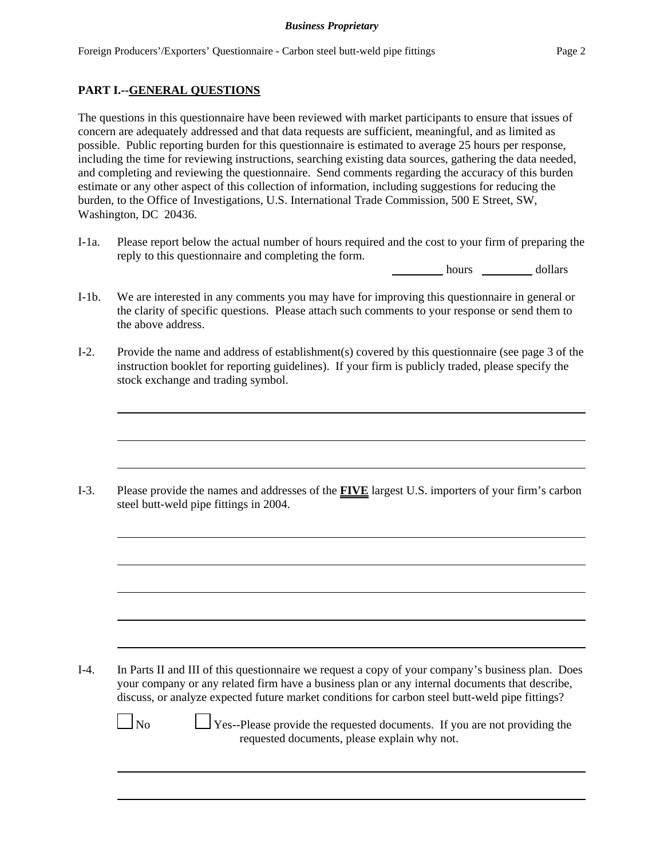## **PART I.--GENERAL QUESTIONS**

The questions in this questionnaire have been reviewed with market participants to ensure that issues of concern are adequately addressed and that data requests are sufficient, meaningful, and as limited as possible. Public reporting burden for this questionnaire is estimated to average 25 hours per response, including the time for reviewing instructions, searching existing data sources, gathering the data needed, and completing and reviewing the questionnaire. Send comments regarding the accuracy of this burden estimate or any other aspect of this collection of information, including suggestions for reducing the burden, to the Office of Investigations, U.S. International Trade Commission, 500 E Street, SW, Washington, DC 20436.

I-1a. Please report below the actual number of hours required and the cost to your firm of preparing the reply to this questionnaire and completing the form.

hours dollars

- I-1b. We are interested in any comments you may have for improving this questionnaire in general or the clarity of specific questions. Please attach such comments to your response or send them to the above address.
- I-2. Provide the name and address of establishment(s) covered by this questionnaire (see page 3 of the instruction booklet for reporting guidelines). If your firm is publicly traded, please specify the stock exchange and trading symbol.

I-3. Please provide the names and addresses of the **FIVE** largest U.S. importers of your firm's carbon steel butt-weld pipe fittings in 2004.

I-4. In Parts II and III of this questionnaire we request a copy of your company's business plan. Does your company or any related firm have a business plan or any internal documents that describe, discuss, or analyze expected future market conditions for carbon steel butt-weld pipe fittings?

 $\Box$  No  $\Box$  Yes--Please provide the requested documents. If you are not providing the requested documents, please explain why not.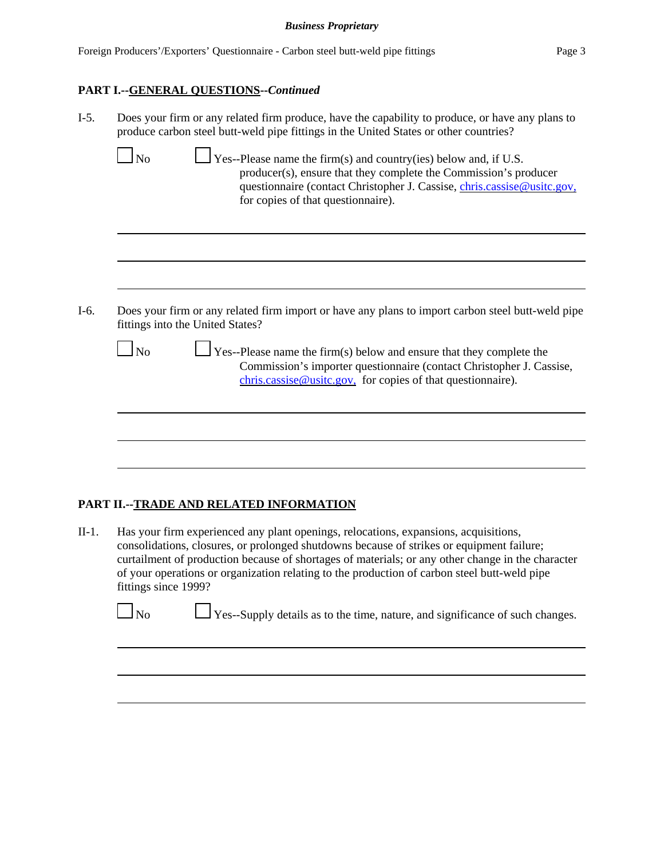## **PART I.--GENERAL QUESTIONS--***Continued*

| $I-5.$           | Does your firm or any related firm produce, have the capability to produce, or have any plans to<br>produce carbon steel butt-weld pipe fittings in the United States or other countries?                                                                                                           |  |  |  |  |
|------------------|-----------------------------------------------------------------------------------------------------------------------------------------------------------------------------------------------------------------------------------------------------------------------------------------------------|--|--|--|--|
| $\Box$ No        | $\Box$ Yes--Please name the firm(s) and country(ies) below and, if U.S.<br>producer(s), ensure that they complete the Commission's producer<br>questionnaire (contact Christopher J. Cassise, chris.cassise@usitc.gov.<br>for copies of that questionnaire).                                        |  |  |  |  |
|                  |                                                                                                                                                                                                                                                                                                     |  |  |  |  |
| $I-6.$<br>$\log$ | Does your firm or any related firm import or have any plans to import carbon steel butt-weld pipe<br>fittings into the United States?<br>$\frac{1}{1}$ Yes--Please name the firm(s) below and ensure that they complete the<br>Commission's importer questionnaire (contact Christopher J. Cassise, |  |  |  |  |
|                  | $chris.cassise@ustc.gov$ , for copies of that questionnaire).                                                                                                                                                                                                                                       |  |  |  |  |
|                  |                                                                                                                                                                                                                                                                                                     |  |  |  |  |
|                  |                                                                                                                                                                                                                                                                                                     |  |  |  |  |

## **PART II.--TRADE AND RELATED INFORMATION**

II-1. Has your firm experienced any plant openings, relocations, expansions, acquisitions, consolidations, closures, or prolonged shutdowns because of strikes or equipment failure; curtailment of production because of shortages of materials; or any other change in the character of your operations or organization relating to the production of carbon steel butt-weld pipe fittings since 1999?

 $\Box$  No  $\Box$  Yes--Supply details as to the time, nature, and significance of such changes.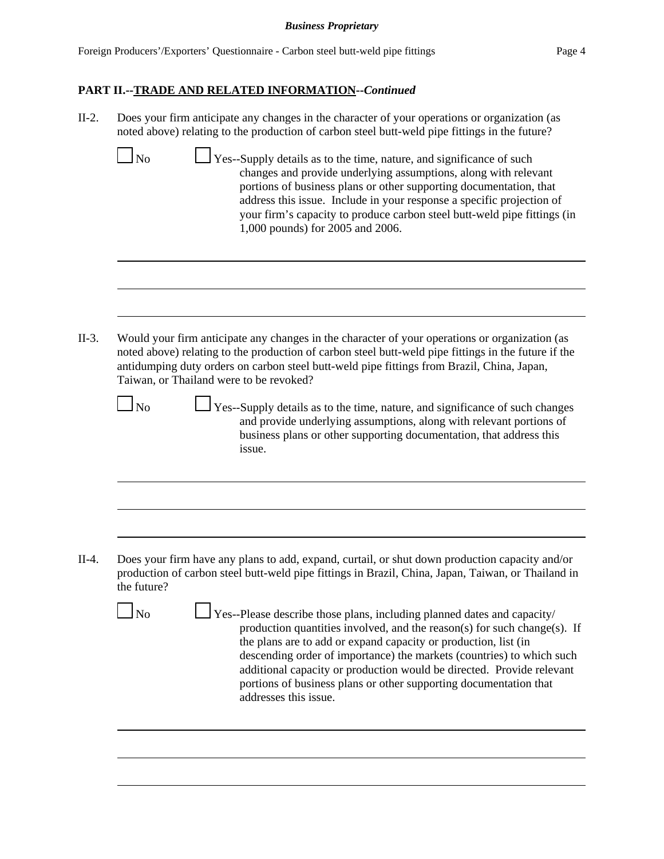# **PART II.--TRADE AND RELATED INFORMATION--***Continued*

| $II-2.$ | Does your firm anticipate any changes in the character of your operations or organization (as<br>noted above) relating to the production of carbon steel butt-weld pipe fittings in the future?                                                                                                                                                                                                                                                                              |
|---------|------------------------------------------------------------------------------------------------------------------------------------------------------------------------------------------------------------------------------------------------------------------------------------------------------------------------------------------------------------------------------------------------------------------------------------------------------------------------------|
|         | $\perp$ Yes--Supply details as to the time, nature, and significance of such<br>$\overline{\text{No}}$<br>changes and provide underlying assumptions, along with relevant<br>portions of business plans or other supporting documentation, that<br>address this issue. Include in your response a specific projection of<br>your firm's capacity to produce carbon steel butt-weld pipe fittings (in<br>1,000 pounds) for 2005 and 2006.                                     |
|         |                                                                                                                                                                                                                                                                                                                                                                                                                                                                              |
| $II-3.$ | Would your firm anticipate any changes in the character of your operations or organization (as<br>noted above) relating to the production of carbon steel butt-weld pipe fittings in the future if the<br>antidumping duty orders on carbon steel butt-weld pipe fittings from Brazil, China, Japan,<br>Taiwan, or Thailand were to be revoked?                                                                                                                              |
|         | $\ln$<br>Yes--Supply details as to the time, nature, and significance of such changes<br>and provide underlying assumptions, along with relevant portions of<br>business plans or other supporting documentation, that address this<br>issue.                                                                                                                                                                                                                                |
|         |                                                                                                                                                                                                                                                                                                                                                                                                                                                                              |
| $II-4.$ | Does your firm have any plans to add, expand, curtail, or shut down production capacity and/or<br>production of carbon steel butt-weld pipe fittings in Brazil, China, Japan, Taiwan, or Thailand in<br>the future?                                                                                                                                                                                                                                                          |
|         | No<br>Yes--Please describe those plans, including planned dates and capacity/<br>production quantities involved, and the reason(s) for such change(s). If<br>the plans are to add or expand capacity or production, list (in<br>descending order of importance) the markets (countries) to which such<br>additional capacity or production would be directed. Provide relevant<br>portions of business plans or other supporting documentation that<br>addresses this issue. |
|         |                                                                                                                                                                                                                                                                                                                                                                                                                                                                              |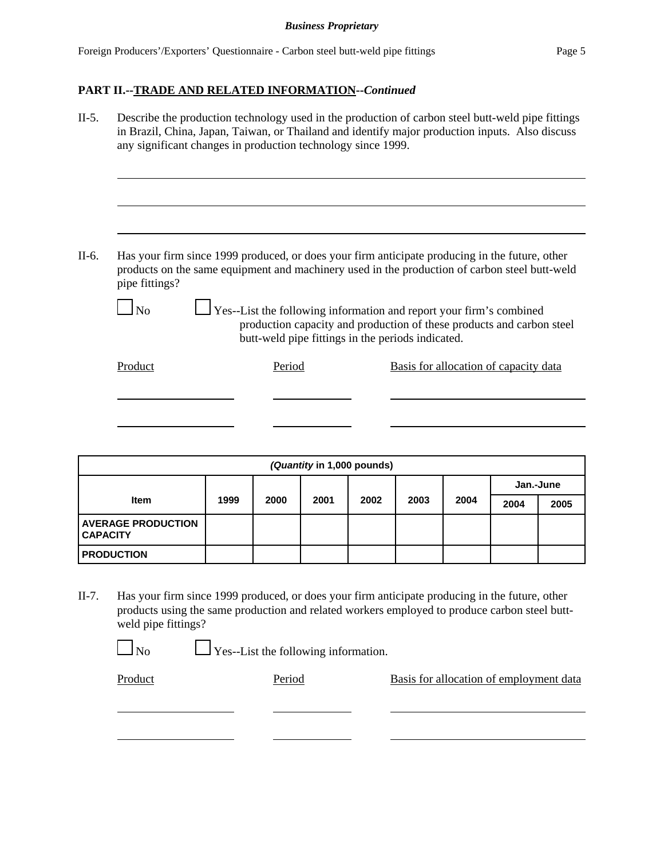## **PART II.--TRADE AND RELATED INFORMATION--***Continued*

II-5. Describe the production technology used in the production of carbon steel butt-weld pipe fittings in Brazil, China, Japan, Taiwan, or Thailand and identify major production inputs. Also discuss any significant changes in production technology since 1999. II-6. Has your firm since 1999 produced, or does your firm anticipate producing in the future, other products on the same equipment and machinery used in the production of carbon steel butt-weld pipe fittings?  $\Box$  No  $\Box$  Yes--List the following information and report your firm's combined production capacity and production of these products and carbon steel butt-weld pipe fittings in the periods indicated. Product Period Basis for allocation of capacity data

| (Quantity in 1,000 pounds)                   |      |      |      |      |           |      |      |      |
|----------------------------------------------|------|------|------|------|-----------|------|------|------|
|                                              |      |      |      |      | Jan.-June |      |      |      |
| <b>Item</b>                                  | 1999 | 2000 | 2001 | 2002 | 2003      | 2004 | 2004 | 2005 |
| <b>AVERAGE PRODUCTION</b><br><b>CAPACITY</b> |      |      |      |      |           |      |      |      |
| <b>PRODUCTION</b>                            |      |      |      |      |           |      |      |      |

II-7. Has your firm since 1999 produced, or does your firm anticipate producing in the future, other products using the same production and related workers employed to produce carbon steel buttweld pipe fittings?

No Yes--List the following information.

Product Period Period Basis for allocation of employment data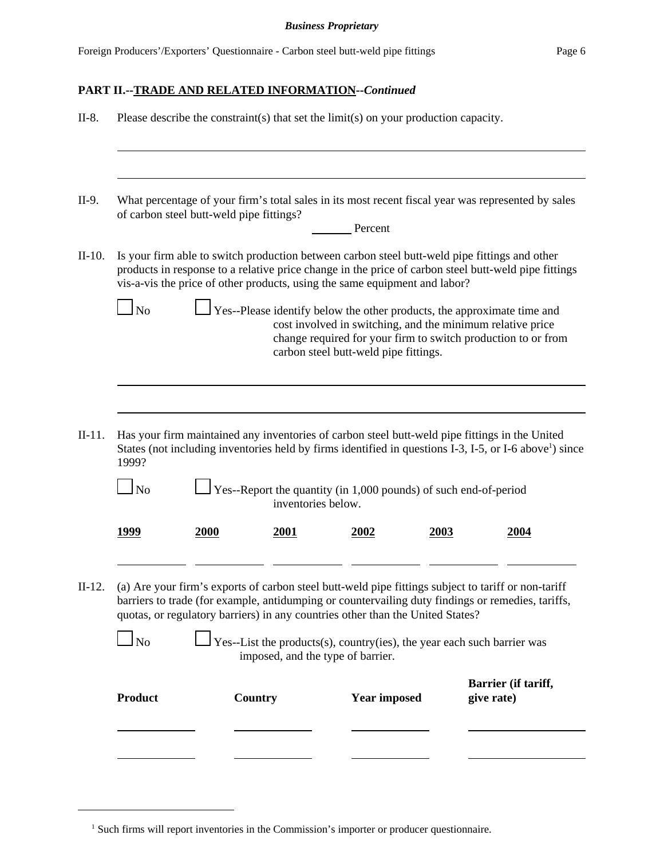# **PART II.--TRADE AND RELATED INFORMATION--***Continued*

| $II-8.$  | Please describe the constraint(s) that set the limit(s) on your production capacity. |                |                                                                                                |                                       |      |                                                                                                                                                                                                                                                                                                                                                                                                                 |
|----------|--------------------------------------------------------------------------------------|----------------|------------------------------------------------------------------------------------------------|---------------------------------------|------|-----------------------------------------------------------------------------------------------------------------------------------------------------------------------------------------------------------------------------------------------------------------------------------------------------------------------------------------------------------------------------------------------------------------|
| II-9.    | of carbon steel butt-weld pipe fittings?                                             |                |                                                                                                | Percent                               |      | What percentage of your firm's total sales in its most recent fiscal year was represented by sales                                                                                                                                                                                                                                                                                                              |
| $II-10.$ | $\ln$                                                                                |                | vis-a-vis the price of other products, using the same equipment and labor?                     |                                       |      | Is your firm able to switch production between carbon steel butt-weld pipe fittings and other<br>products in response to a relative price change in the price of carbon steel butt-weld pipe fittings<br>Yes--Please identify below the other products, the approximate time and<br>cost involved in switching, and the minimum relative price<br>change required for your firm to switch production to or from |
| $II-11.$ |                                                                                      |                |                                                                                                | carbon steel butt-weld pipe fittings. |      | Has your firm maintained any inventories of carbon steel butt-weld pipe fittings in the United<br>States (not including inventories held by firms identified in questions I-3, I-5, or I-6 above <sup>1</sup> ) since                                                                                                                                                                                           |
|          | 1999?<br>$\mathbf{\mathop{1\rm No}}$                                                 |                | $\perp$ Yes--Report the quantity (in 1,000 pounds) of such end-of-period<br>inventories below. |                                       |      |                                                                                                                                                                                                                                                                                                                                                                                                                 |
|          | 1999                                                                                 | 2000           | 2001                                                                                           | 2002                                  | 2003 | 2004                                                                                                                                                                                                                                                                                                                                                                                                            |
| $II-12.$ |                                                                                      |                | quotas, or regulatory barriers) in any countries other than the United States?                 |                                       |      | (a) Are your firm's exports of carbon steel butt-weld pipe fittings subject to tariff or non-tariff<br>barriers to trade (for example, antidumping or countervailing duty findings or remedies, tariffs,                                                                                                                                                                                                        |
|          | $\Box$ No                                                                            |                | imposed, and the type of barrier.                                                              |                                       |      | $\Box$ Yes--List the products(s), country(ies), the year each such barrier was                                                                                                                                                                                                                                                                                                                                  |
|          | <b>Product</b>                                                                       | <b>Country</b> |                                                                                                | <b>Year imposed</b>                   |      | Barrier (if tariff,<br>give rate)                                                                                                                                                                                                                                                                                                                                                                               |
|          |                                                                                      |                |                                                                                                |                                       |      |                                                                                                                                                                                                                                                                                                                                                                                                                 |

<sup>&</sup>lt;sup>1</sup> Such firms will report inventories in the Commission's importer or producer questionnaire.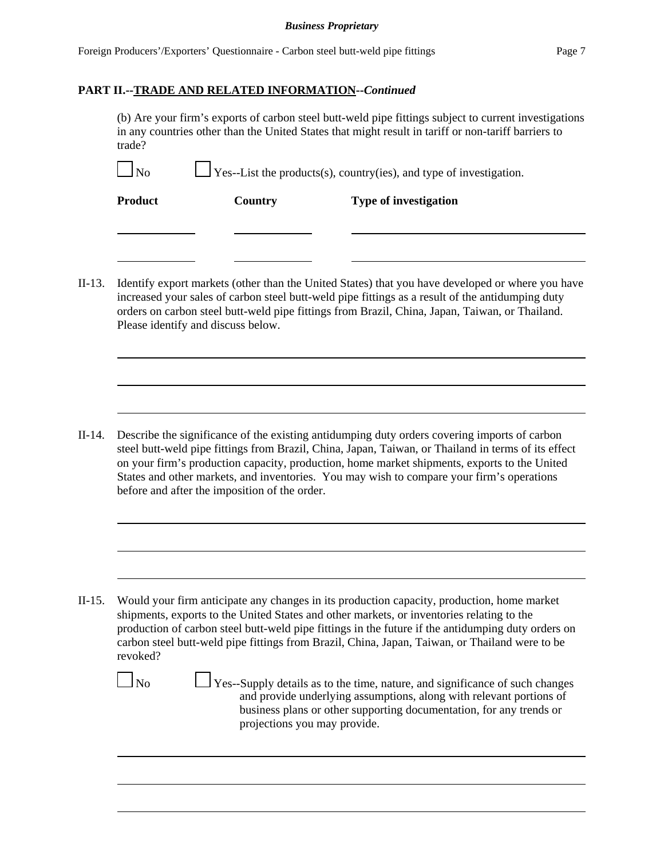### **PART II.--TRADE AND RELATED INFORMATION--***Continued*

(b) Are your firm's exports of carbon steel butt-weld pipe fittings subject to current investigations in any countries other than the United States that might result in tariff or non-tariff barriers to trade?

| $\Box_{\text{No}}$ | $\Box$ Yes--List the products(s), country(ies), and type of investigation. |
|--------------------|----------------------------------------------------------------------------|
|--------------------|----------------------------------------------------------------------------|

**Product** Country Type of investigation

II-13. Identify export markets (other than the United States) that you have developed or where you have increased your sales of carbon steel butt-weld pipe fittings as a result of the antidumping duty orders on carbon steel butt-weld pipe fittings from Brazil, China, Japan, Taiwan, or Thailand. Please identify and discuss below.

II-14. Describe the significance of the existing antidumping duty orders covering imports of carbon steel butt-weld pipe fittings from Brazil, China, Japan, Taiwan, or Thailand in terms of its effect on your firm's production capacity, production, home market shipments, exports to the United States and other markets, and inventories. You may wish to compare your firm's operations before and after the imposition of the order.

II-15. Would your firm anticipate any changes in its production capacity, production, home market shipments, exports to the United States and other markets, or inventories relating to the production of carbon steel butt-weld pipe fittings in the future if the antidumping duty orders on carbon steel butt-weld pipe fittings from Brazil, China, Japan, Taiwan, or Thailand were to be revoked?

 $\Box$  No  $\Box$  Yes--Supply details as to the time, nature, and significance of such changes and provide underlying assumptions, along with relevant portions of business plans or other supporting documentation, for any trends or projections you may provide.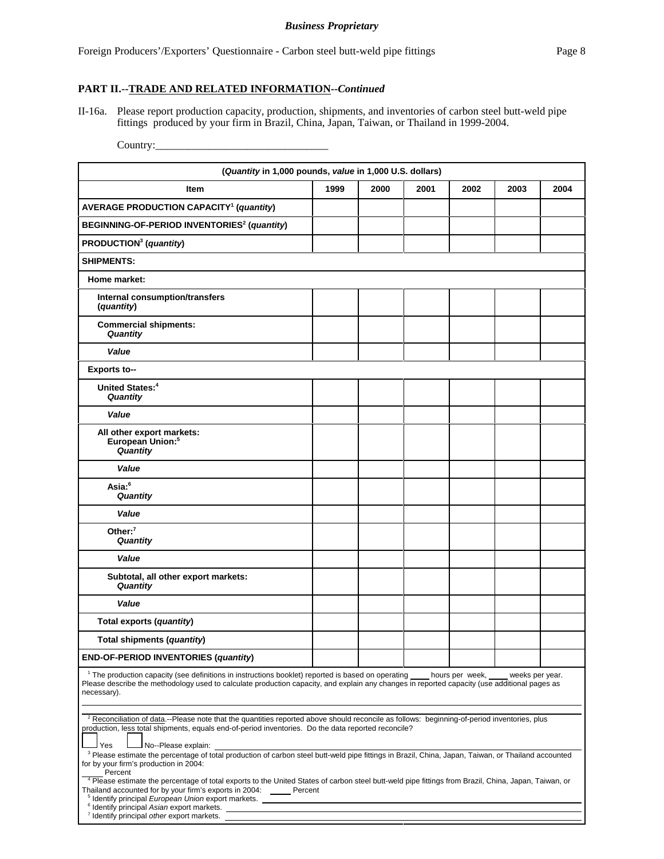### **PART II.--TRADE AND RELATED INFORMATION--***Continued*

II-16a. Please report production capacity, production, shipments, and inventories of carbon steel butt-weld pipe fittings produced by your firm in Brazil, China, Japan, Taiwan, or Thailand in 1999-2004.

Country:\_\_\_\_\_\_\_\_\_\_\_\_\_\_\_\_\_\_\_\_\_\_\_\_\_\_\_\_\_\_\_\_

| (Quantity in 1,000 pounds, value in 1,000 U.S. dollars)                                                                                                                                                                                                                                                                                                                                                                                                                                                           |      |      |      |      |      |      |
|-------------------------------------------------------------------------------------------------------------------------------------------------------------------------------------------------------------------------------------------------------------------------------------------------------------------------------------------------------------------------------------------------------------------------------------------------------------------------------------------------------------------|------|------|------|------|------|------|
| <b>Item</b>                                                                                                                                                                                                                                                                                                                                                                                                                                                                                                       | 1999 | 2000 | 2001 | 2002 | 2003 | 2004 |
| <b>AVERAGE PRODUCTION CAPACITY<sup>1</sup> (quantity)</b>                                                                                                                                                                                                                                                                                                                                                                                                                                                         |      |      |      |      |      |      |
| BEGINNING-OF-PERIOD INVENTORIES <sup>2</sup> (quantity)                                                                                                                                                                                                                                                                                                                                                                                                                                                           |      |      |      |      |      |      |
| PRODUCTION <sup>3</sup> (quantity)                                                                                                                                                                                                                                                                                                                                                                                                                                                                                |      |      |      |      |      |      |
| <b>SHIPMENTS:</b>                                                                                                                                                                                                                                                                                                                                                                                                                                                                                                 |      |      |      |      |      |      |
| Home market:                                                                                                                                                                                                                                                                                                                                                                                                                                                                                                      |      |      |      |      |      |      |
| Internal consumption/transfers<br>(quantity)                                                                                                                                                                                                                                                                                                                                                                                                                                                                      |      |      |      |      |      |      |
| <b>Commercial shipments:</b><br><b>Quantity</b>                                                                                                                                                                                                                                                                                                                                                                                                                                                                   |      |      |      |      |      |      |
| Value                                                                                                                                                                                                                                                                                                                                                                                                                                                                                                             |      |      |      |      |      |      |
| <b>Exports to--</b>                                                                                                                                                                                                                                                                                                                                                                                                                                                                                               |      |      |      |      |      |      |
| United States: <sup>4</sup><br>Quantity                                                                                                                                                                                                                                                                                                                                                                                                                                                                           |      |      |      |      |      |      |
| Value                                                                                                                                                                                                                                                                                                                                                                                                                                                                                                             |      |      |      |      |      |      |
| All other export markets:<br>European Union: <sup>5</sup><br>Quantity                                                                                                                                                                                                                                                                                                                                                                                                                                             |      |      |      |      |      |      |
| Value                                                                                                                                                                                                                                                                                                                                                                                                                                                                                                             |      |      |      |      |      |      |
| Asia: <sup>6</sup><br>Quantity                                                                                                                                                                                                                                                                                                                                                                                                                                                                                    |      |      |      |      |      |      |
| Value                                                                                                                                                                                                                                                                                                                                                                                                                                                                                                             |      |      |      |      |      |      |
| Other: $7$<br>Quantity                                                                                                                                                                                                                                                                                                                                                                                                                                                                                            |      |      |      |      |      |      |
| Value                                                                                                                                                                                                                                                                                                                                                                                                                                                                                                             |      |      |      |      |      |      |
| Subtotal, all other export markets:<br>Quantity                                                                                                                                                                                                                                                                                                                                                                                                                                                                   |      |      |      |      |      |      |
| Value                                                                                                                                                                                                                                                                                                                                                                                                                                                                                                             |      |      |      |      |      |      |
| Total exports (quantity)                                                                                                                                                                                                                                                                                                                                                                                                                                                                                          |      |      |      |      |      |      |
| Total shipments (quantity)                                                                                                                                                                                                                                                                                                                                                                                                                                                                                        |      |      |      |      |      |      |
| END-OF-PERIOD INVENTORIES (quantity)                                                                                                                                                                                                                                                                                                                                                                                                                                                                              |      |      |      |      |      |      |
| <sup>1</sup> The production capacity (see definitions in instructions booklet) reported is based on operating<br>hours per week,<br>weeks per vear.<br>Please describe the methodology used to calculate production capacity, and explain any changes in reported capacity (use additional pages as<br>necessary).                                                                                                                                                                                                |      |      |      |      |      |      |
| <sup>2</sup> Reconciliation of data.--Please note that the quantities reported above should reconcile as follows: beginning-of-period inventories, plus<br>production, less total shipments, equals end-of-period inventories. Do the data reported reconcile?<br>No--Please explain:<br>Yes<br><sup>3</sup> Please estimate the percentage of total production of carbon steel butt-weld pipe fittings in Brazil, China, Japan, Taiwan, or Thailand accounted                                                    |      |      |      |      |      |      |
| for by your firm's production in 2004:<br>Percent<br><sup>4</sup> Please estimate the percentage of total exports to the United States of carbon steel butt-weld pipe fittings from Brazil, China, Japan, Taiwan, or<br>Thailand accounted for by your firm's exports in 2004: Percent<br><sup>5</sup> Identify principal European Union export markets. <u>Andrean American Communications</u><br><sup>6</sup> Identify principal Asian export markets.<br><sup>7</sup> Identify principal other export markets. |      |      |      |      |      |      |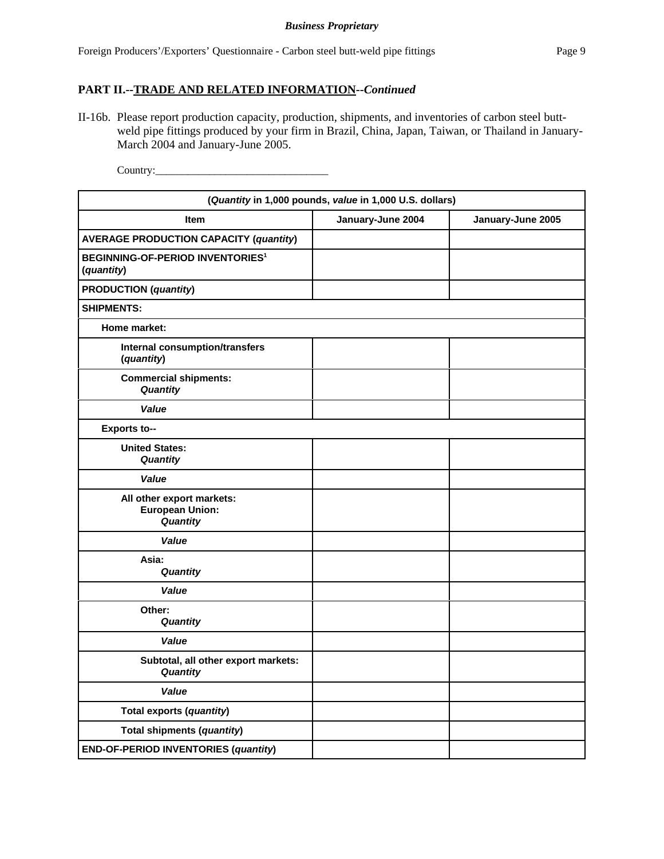## **PART II.--TRADE AND RELATED INFORMATION--***Continued*

II-16b. Please report production capacity, production, shipments, and inventories of carbon steel buttweld pipe fittings produced by your firm in Brazil, China, Japan, Taiwan, or Thailand in January-March 2004 and January-June 2005.

Country:\_\_\_\_\_\_\_\_\_\_\_\_\_\_\_\_\_\_\_\_\_\_\_\_\_\_\_\_\_\_\_\_

| (Quantity in 1,000 pounds, value in 1,000 U.S. dollars)          |                   |                   |  |
|------------------------------------------------------------------|-------------------|-------------------|--|
| <b>Item</b>                                                      | January-June 2004 | January-June 2005 |  |
| <b>AVERAGE PRODUCTION CAPACITY (quantity)</b>                    |                   |                   |  |
| <b>BEGINNING-OF-PERIOD INVENTORIES<sup>1</sup></b><br>(quantity) |                   |                   |  |
| <b>PRODUCTION</b> (quantity)                                     |                   |                   |  |
| <b>SHIPMENTS:</b>                                                |                   |                   |  |
| Home market:                                                     |                   |                   |  |
| Internal consumption/transfers<br>(quantity)                     |                   |                   |  |
| <b>Commercial shipments:</b><br>Quantity                         |                   |                   |  |
| Value                                                            |                   |                   |  |
| <b>Exports to--</b>                                              |                   |                   |  |
| <b>United States:</b><br>Quantity                                |                   |                   |  |
| Value                                                            |                   |                   |  |
| All other export markets:<br><b>European Union:</b><br>Quantity  |                   |                   |  |
| Value                                                            |                   |                   |  |
| Asia:<br>Quantity                                                |                   |                   |  |
| Value                                                            |                   |                   |  |
| Other:<br>Quantity                                               |                   |                   |  |
| Value                                                            |                   |                   |  |
| Subtotal, all other export markets:<br>Quantity                  |                   |                   |  |
| Value                                                            |                   |                   |  |
| Total exports (quantity)                                         |                   |                   |  |
| Total shipments (quantity)                                       |                   |                   |  |
| <b>END-OF-PERIOD INVENTORIES (quantity)</b>                      |                   |                   |  |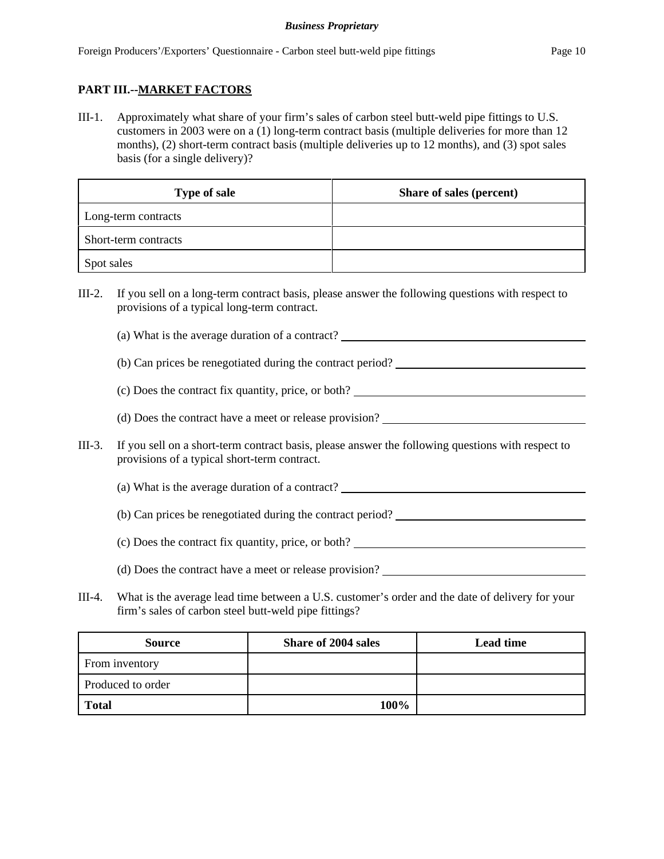# **PART III.--MARKET FACTORS**

III-1. Approximately what share of your firm's sales of carbon steel butt-weld pipe fittings to U.S. customers in 2003 were on a (1) long-term contract basis (multiple deliveries for more than 12 months), (2) short-term contract basis (multiple deliveries up to 12 months), and (3) spot sales basis (for a single delivery)?

| <b>Type of sale</b>  | Share of sales (percent) |
|----------------------|--------------------------|
| Long-term contracts  |                          |
| Short-term contracts |                          |
| Spot sales           |                          |

- III-2. If you sell on a long-term contract basis, please answer the following questions with respect to provisions of a typical long-term contract.
	- (a) What is the average duration of a contract?
	- (b) Can prices be renegotiated during the contract period?
	- (c) Does the contract fix quantity, price, or both?
	- (d) Does the contract have a meet or release provision?
- III-3. If you sell on a short-term contract basis, please answer the following questions with respect to provisions of a typical short-term contract.
	- (a) What is the average duration of a contract?
	- (b) Can prices be renegotiated during the contract period?
	- (c) Does the contract fix quantity, price, or both?
	- (d) Does the contract have a meet or release provision?
- III-4. What is the average lead time between a U.S. customer's order and the date of delivery for your firm's sales of carbon steel butt-weld pipe fittings?

| <b>Source</b>     | <b>Share of 2004 sales</b> | <b>Lead time</b> |
|-------------------|----------------------------|------------------|
| From inventory    |                            |                  |
| Produced to order |                            |                  |
| <b>Total</b>      | 100%                       |                  |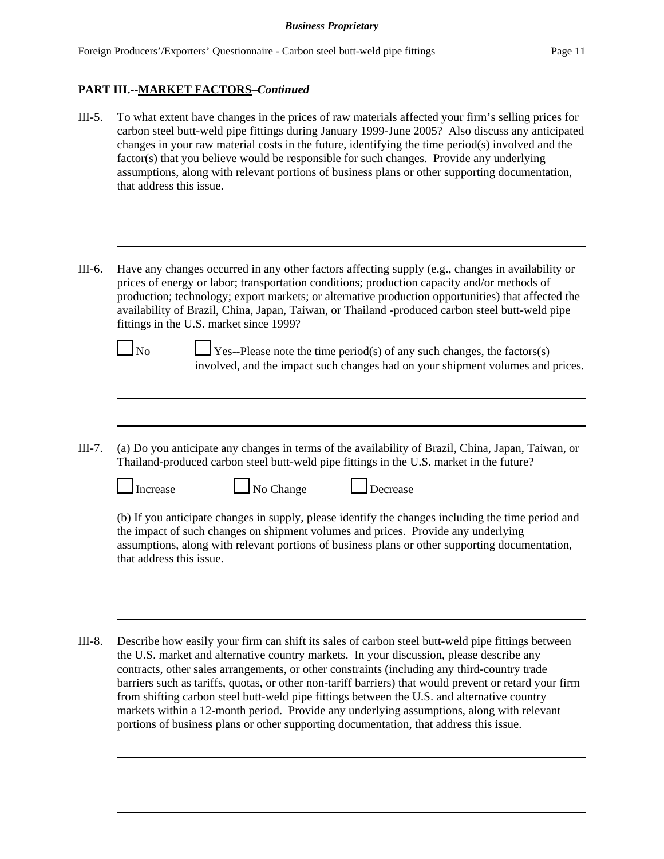# **PART III.--MARKET FACTORS–***Continued*

- III-5. To what extent have changes in the prices of raw materials affected your firm's selling prices for carbon steel butt-weld pipe fittings during January 1999-June 2005? Also discuss any anticipated changes in your raw material costs in the future, identifying the time period(s) involved and the factor(s) that you believe would be responsible for such changes. Provide any underlying assumptions, along with relevant portions of business plans or other supporting documentation, that address this issue.
- III-6. Have any changes occurred in any other factors affecting supply (e.g., changes in availability or prices of energy or labor; transportation conditions; production capacity and/or methods of production; technology; export markets; or alternative production opportunities) that affected the availability of Brazil, China, Japan, Taiwan, or Thailand -produced carbon steel butt-weld pipe fittings in the U.S. market since 1999?
	-

 $\Box$  No  $\Box$  Yes--Please note the time period(s) of any such changes, the factors(s) involved, and the impact such changes had on your shipment volumes and prices.

III-7. (a) Do you anticipate any changes in terms of the availability of Brazil, China, Japan, Taiwan, or Thailand-produced carbon steel butt-weld pipe fittings in the U.S. market in the future?



 $\Box$  Increase  $\Box$  No Change  $\Box$  Decrease

(b) If you anticipate changes in supply, please identify the changes including the time period and the impact of such changes on shipment volumes and prices. Provide any underlying assumptions, along with relevant portions of business plans or other supporting documentation, that address this issue.

III-8. Describe how easily your firm can shift its sales of carbon steel butt-weld pipe fittings between the U.S. market and alternative country markets. In your discussion, please describe any contracts, other sales arrangements, or other constraints (including any third-country trade barriers such as tariffs, quotas, or other non-tariff barriers) that would prevent or retard your firm from shifting carbon steel butt-weld pipe fittings between the U.S. and alternative country markets within a 12-month period. Provide any underlying assumptions, along with relevant portions of business plans or other supporting documentation, that address this issue.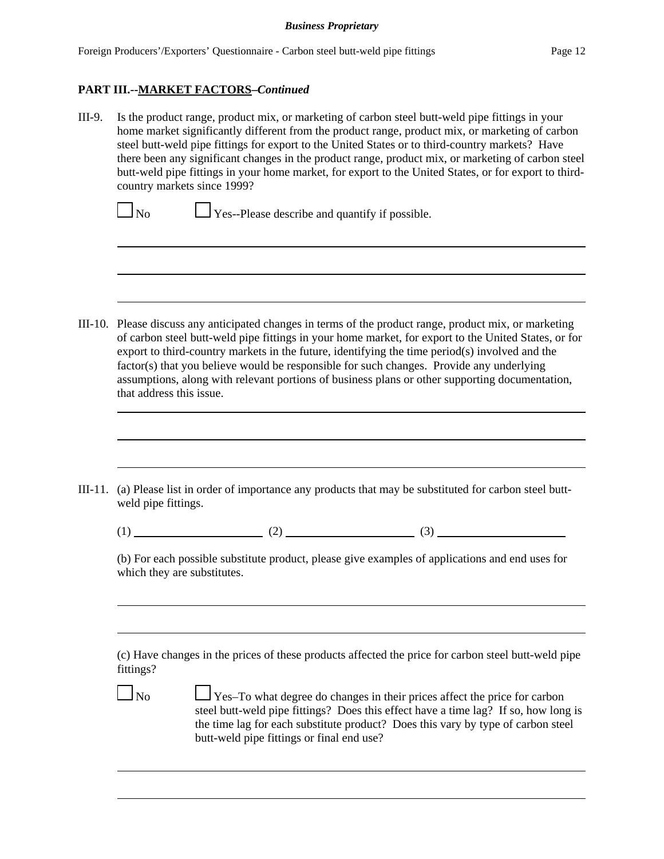## **PART III.--MARKET FACTORS–***Continued*

III-9. Is the product range, product mix, or marketing of carbon steel butt-weld pipe fittings in your home market significantly different from the product range, product mix, or marketing of carbon steel butt-weld pipe fittings for export to the United States or to third-country markets? Have there been any significant changes in the product range, product mix, or marketing of carbon steel butt-weld pipe fittings in your home market, for export to the United States, or for export to thirdcountry markets since 1999?

 $\Box$  No  $\Box$  Yes--Please describe and quantify if possible.

- III-10. Please discuss any anticipated changes in terms of the product range, product mix, or marketing of carbon steel butt-weld pipe fittings in your home market, for export to the United States, or for export to third-country markets in the future, identifying the time period(s) involved and the factor(s) that you believe would be responsible for such changes. Provide any underlying assumptions, along with relevant portions of business plans or other supporting documentation, that address this issue.
- III-11. (a) Please list in order of importance any products that may be substituted for carbon steel buttweld pipe fittings.

 $(1)$  (2) (3)

(b) For each possible substitute product, please give examples of applications and end uses for which they are substitutes.

(c) Have changes in the prices of these products affected the price for carbon steel butt-weld pipe fittings?

 $\Box$  No  $\Box$  Yes–To what degree do changes in their prices affect the price for carbon steel butt-weld pipe fittings? Does this effect have a time lag? If so, how long is the time lag for each substitute product? Does this vary by type of carbon steel butt-weld pipe fittings or final end use?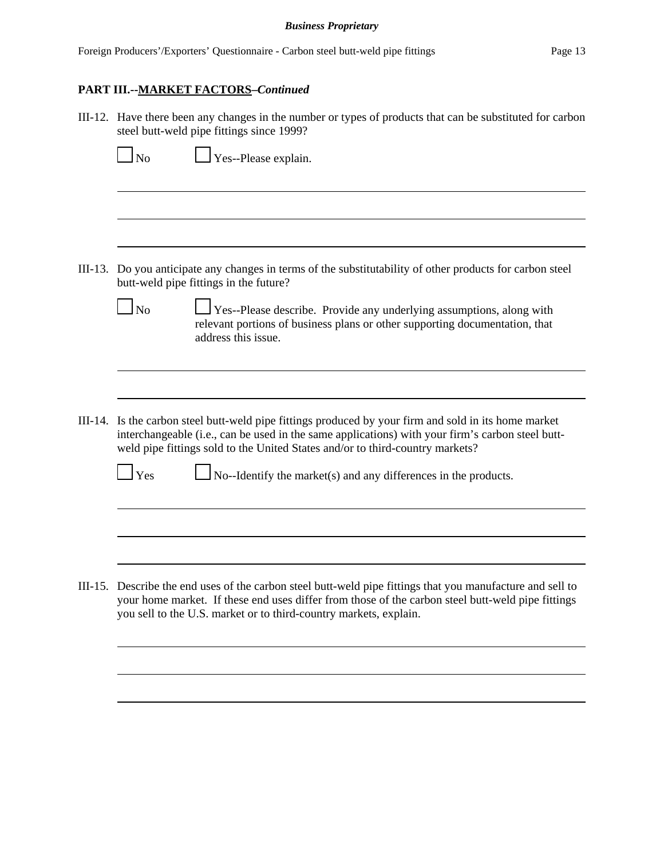| III-12. Have there been any changes in the number or types of products that can be substituted for carbon<br>steel butt-weld pipe fittings since 1999?                                                                                                                               |
|--------------------------------------------------------------------------------------------------------------------------------------------------------------------------------------------------------------------------------------------------------------------------------------|
| $\Box$ No<br>Yes--Please explain.                                                                                                                                                                                                                                                    |
|                                                                                                                                                                                                                                                                                      |
| III-13. Do you anticipate any changes in terms of the substitutability of other products for carbon steel                                                                                                                                                                            |
| butt-weld pipe fittings in the future?<br>$\Box$ No<br>Yes--Please describe. Provide any underlying assumptions, along with<br>relevant portions of business plans or other supporting documentation, that<br>address this issue.                                                    |
| III-14. Is the carbon steel butt-weld pipe fittings produced by your firm and sold in its home market                                                                                                                                                                                |
| interchangeable (i.e., can be used in the same applications) with your firm's carbon steel butt-<br>weld pipe fittings sold to the United States and/or to third-country markets?<br>$\log$ No--Identify the market(s) and any differences in the products.<br>$1$ Yes               |
|                                                                                                                                                                                                                                                                                      |
| III-15. Describe the end uses of the carbon steel butt-weld pipe fittings that you manufacture and sell to<br>your home market. If these end uses differ from those of the carbon steel butt-weld pipe fittings<br>you sell to the U.S. market or to third-country markets, explain. |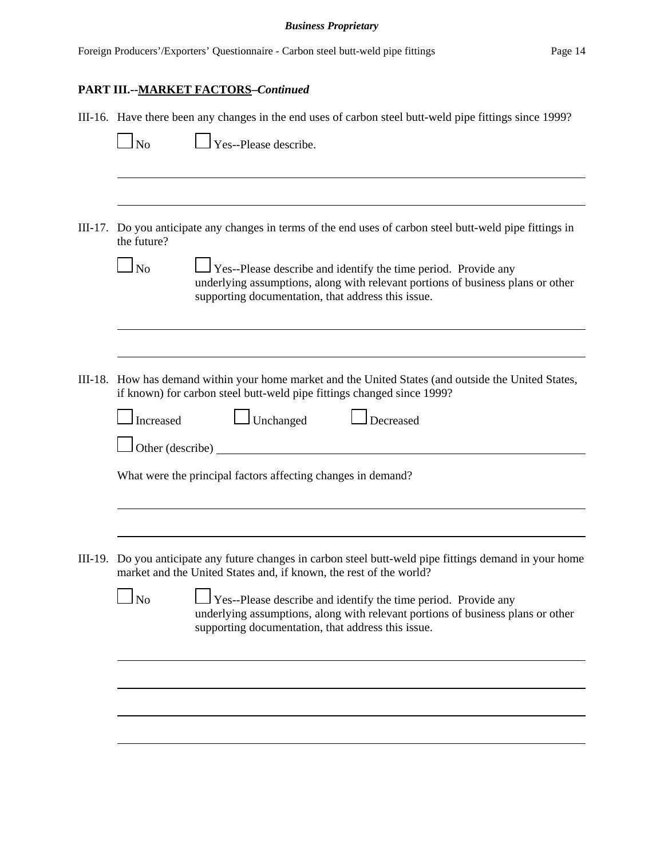# **PART III.--MARKET FACTORS–***Continued*

| III-16. Have there been any changes in the end uses of carbon steel butt-weld pipe fittings since 1999?<br>$\Box$ No<br>$\Box$ Yes--Please describe.                                                                                                                                                                                                                                                        |
|-------------------------------------------------------------------------------------------------------------------------------------------------------------------------------------------------------------------------------------------------------------------------------------------------------------------------------------------------------------------------------------------------------------|
| III-17. Do you anticipate any changes in terms of the end uses of carbon steel butt-weld pipe fittings in<br>the future?<br>$\Box$ Yes--Please describe and identify the time period. Provide any<br>$\Box$ No<br>underlying assumptions, along with relevant portions of business plans or other<br>supporting documentation, that address this issue.                                                     |
| III-18. How has demand within your home market and the United States (and outside the United States,<br>if known) for carbon steel butt-weld pipe fittings changed since 1999?<br>$\Box$ Unchanged<br>Increased<br>Decreased<br>Other (describe) $\qquad \qquad$                                                                                                                                            |
| What were the principal factors affecting changes in demand?                                                                                                                                                                                                                                                                                                                                                |
| III-19. Do you anticipate any future changes in carbon steel butt-weld pipe fittings demand in your home<br>market and the United States and, if known, the rest of the world?<br>Yes--Please describe and identify the time period. Provide any<br>N <sub>o</sub><br>underlying assumptions, along with relevant portions of business plans or other<br>supporting documentation, that address this issue. |
|                                                                                                                                                                                                                                                                                                                                                                                                             |